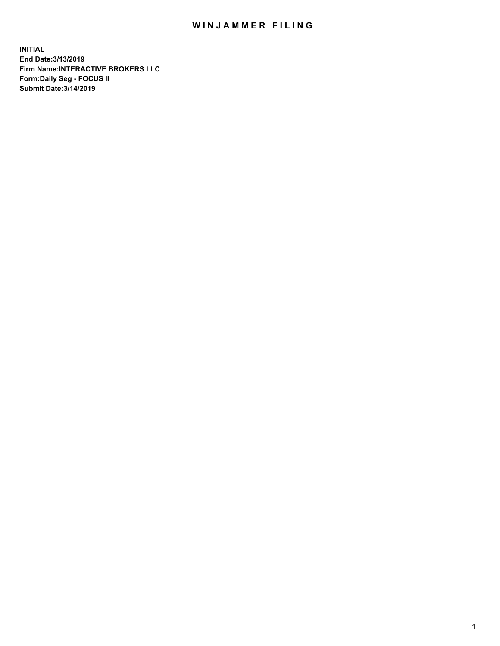## WIN JAMMER FILING

**INITIAL End Date:3/13/2019 Firm Name:INTERACTIVE BROKERS LLC Form:Daily Seg - FOCUS II Submit Date:3/14/2019**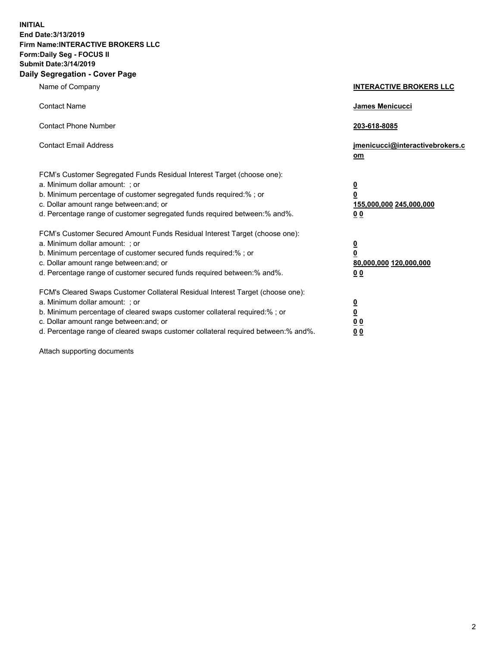**INITIAL End Date:3/13/2019 Firm Name:INTERACTIVE BROKERS LLC Form:Daily Seg - FOCUS II Submit Date:3/14/2019 Daily Segregation - Cover Page**

| Name of Company                                                                                                                                                                                                                                                                                                                | <b>INTERACTIVE BROKERS LLC</b>                                                                  |
|--------------------------------------------------------------------------------------------------------------------------------------------------------------------------------------------------------------------------------------------------------------------------------------------------------------------------------|-------------------------------------------------------------------------------------------------|
| <b>Contact Name</b>                                                                                                                                                                                                                                                                                                            | James Menicucci                                                                                 |
| <b>Contact Phone Number</b>                                                                                                                                                                                                                                                                                                    | 203-618-8085                                                                                    |
| <b>Contact Email Address</b>                                                                                                                                                                                                                                                                                                   | jmenicucci@interactivebrokers.c<br>om                                                           |
| FCM's Customer Segregated Funds Residual Interest Target (choose one):<br>a. Minimum dollar amount: ; or<br>b. Minimum percentage of customer segregated funds required:% ; or<br>c. Dollar amount range between: and; or<br>d. Percentage range of customer segregated funds required between:% and%.                         | $\overline{\mathbf{0}}$<br>$\overline{\mathbf{0}}$<br>155,000,000 245,000,000<br>0 <sub>0</sub> |
| FCM's Customer Secured Amount Funds Residual Interest Target (choose one):<br>a. Minimum dollar amount: ; or<br>b. Minimum percentage of customer secured funds required:%; or<br>c. Dollar amount range between: and; or<br>d. Percentage range of customer secured funds required between:% and%.                            | $\overline{\mathbf{0}}$<br>$\overline{\mathbf{0}}$<br>80,000,000 120,000,000<br>00              |
| FCM's Cleared Swaps Customer Collateral Residual Interest Target (choose one):<br>a. Minimum dollar amount: ; or<br>b. Minimum percentage of cleared swaps customer collateral required:% ; or<br>c. Dollar amount range between: and; or<br>d. Percentage range of cleared swaps customer collateral required between:% and%. | $\overline{\mathbf{0}}$<br>$\underline{\mathbf{0}}$<br>0 <sub>0</sub><br>0 <sub>0</sub>         |

Attach supporting documents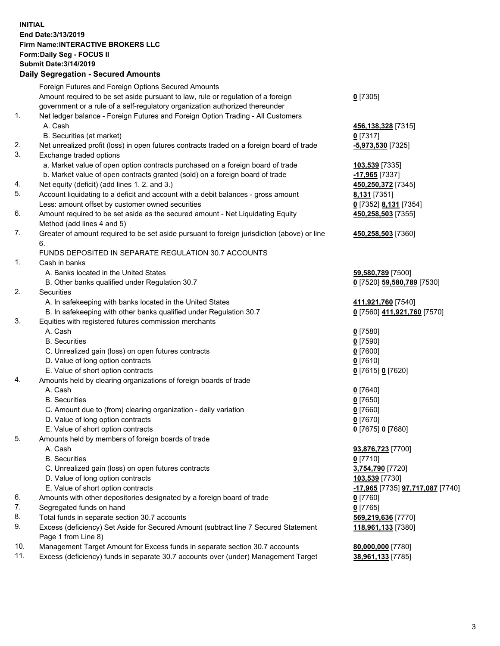## **INITIAL End Date:3/13/2019 Firm Name:INTERACTIVE BROKERS LLC Form:Daily Seg - FOCUS II Submit Date:3/14/2019 Daily Segregation - Secured Amounts**

| Daily Ocglegation - Occarea Anioants                                                        |                                                                                                                                                                                                                                                                                                                                                                                                                                                                                                                                                                                                                                                                                                                                                                                                                                                                                                                                                                                                                                                                                                                                                                                                                                          |
|---------------------------------------------------------------------------------------------|------------------------------------------------------------------------------------------------------------------------------------------------------------------------------------------------------------------------------------------------------------------------------------------------------------------------------------------------------------------------------------------------------------------------------------------------------------------------------------------------------------------------------------------------------------------------------------------------------------------------------------------------------------------------------------------------------------------------------------------------------------------------------------------------------------------------------------------------------------------------------------------------------------------------------------------------------------------------------------------------------------------------------------------------------------------------------------------------------------------------------------------------------------------------------------------------------------------------------------------|
| Foreign Futures and Foreign Options Secured Amounts                                         |                                                                                                                                                                                                                                                                                                                                                                                                                                                                                                                                                                                                                                                                                                                                                                                                                                                                                                                                                                                                                                                                                                                                                                                                                                          |
| Amount required to be set aside pursuant to law, rule or regulation of a foreign            | $0$ [7305]                                                                                                                                                                                                                                                                                                                                                                                                                                                                                                                                                                                                                                                                                                                                                                                                                                                                                                                                                                                                                                                                                                                                                                                                                               |
| government or a rule of a self-regulatory organization authorized thereunder                |                                                                                                                                                                                                                                                                                                                                                                                                                                                                                                                                                                                                                                                                                                                                                                                                                                                                                                                                                                                                                                                                                                                                                                                                                                          |
| Net ledger balance - Foreign Futures and Foreign Option Trading - All Customers             |                                                                                                                                                                                                                                                                                                                                                                                                                                                                                                                                                                                                                                                                                                                                                                                                                                                                                                                                                                                                                                                                                                                                                                                                                                          |
| A. Cash                                                                                     | 456,138,328 [7315]                                                                                                                                                                                                                                                                                                                                                                                                                                                                                                                                                                                                                                                                                                                                                                                                                                                                                                                                                                                                                                                                                                                                                                                                                       |
| B. Securities (at market)                                                                   | $0$ [7317]                                                                                                                                                                                                                                                                                                                                                                                                                                                                                                                                                                                                                                                                                                                                                                                                                                                                                                                                                                                                                                                                                                                                                                                                                               |
| Net unrealized profit (loss) in open futures contracts traded on a foreign board of trade   | $-5,973,530$ [7325]                                                                                                                                                                                                                                                                                                                                                                                                                                                                                                                                                                                                                                                                                                                                                                                                                                                                                                                                                                                                                                                                                                                                                                                                                      |
| Exchange traded options                                                                     |                                                                                                                                                                                                                                                                                                                                                                                                                                                                                                                                                                                                                                                                                                                                                                                                                                                                                                                                                                                                                                                                                                                                                                                                                                          |
| a. Market value of open option contracts purchased on a foreign board of trade              | 103,539 [7335]                                                                                                                                                                                                                                                                                                                                                                                                                                                                                                                                                                                                                                                                                                                                                                                                                                                                                                                                                                                                                                                                                                                                                                                                                           |
| b. Market value of open contracts granted (sold) on a foreign board of trade                | -17,965 [7337]                                                                                                                                                                                                                                                                                                                                                                                                                                                                                                                                                                                                                                                                                                                                                                                                                                                                                                                                                                                                                                                                                                                                                                                                                           |
|                                                                                             | 450,250,372 [7345]                                                                                                                                                                                                                                                                                                                                                                                                                                                                                                                                                                                                                                                                                                                                                                                                                                                                                                                                                                                                                                                                                                                                                                                                                       |
| Account liquidating to a deficit and account with a debit balances - gross amount           | 8,131 [7351]                                                                                                                                                                                                                                                                                                                                                                                                                                                                                                                                                                                                                                                                                                                                                                                                                                                                                                                                                                                                                                                                                                                                                                                                                             |
| Less: amount offset by customer owned securities                                            | 0 [7352] 8,131 [7354]                                                                                                                                                                                                                                                                                                                                                                                                                                                                                                                                                                                                                                                                                                                                                                                                                                                                                                                                                                                                                                                                                                                                                                                                                    |
| Amount required to be set aside as the secured amount - Net Liquidating Equity              | 450,258,503 [7355]                                                                                                                                                                                                                                                                                                                                                                                                                                                                                                                                                                                                                                                                                                                                                                                                                                                                                                                                                                                                                                                                                                                                                                                                                       |
| Method (add lines 4 and 5)                                                                  |                                                                                                                                                                                                                                                                                                                                                                                                                                                                                                                                                                                                                                                                                                                                                                                                                                                                                                                                                                                                                                                                                                                                                                                                                                          |
| Greater of amount required to be set aside pursuant to foreign jurisdiction (above) or line | 450,258,503 [7360]                                                                                                                                                                                                                                                                                                                                                                                                                                                                                                                                                                                                                                                                                                                                                                                                                                                                                                                                                                                                                                                                                                                                                                                                                       |
| 6.                                                                                          |                                                                                                                                                                                                                                                                                                                                                                                                                                                                                                                                                                                                                                                                                                                                                                                                                                                                                                                                                                                                                                                                                                                                                                                                                                          |
| FUNDS DEPOSITED IN SEPARATE REGULATION 30.7 ACCOUNTS                                        |                                                                                                                                                                                                                                                                                                                                                                                                                                                                                                                                                                                                                                                                                                                                                                                                                                                                                                                                                                                                                                                                                                                                                                                                                                          |
| Cash in banks                                                                               |                                                                                                                                                                                                                                                                                                                                                                                                                                                                                                                                                                                                                                                                                                                                                                                                                                                                                                                                                                                                                                                                                                                                                                                                                                          |
| A. Banks located in the United States                                                       | 59,580,789 [7500]                                                                                                                                                                                                                                                                                                                                                                                                                                                                                                                                                                                                                                                                                                                                                                                                                                                                                                                                                                                                                                                                                                                                                                                                                        |
| B. Other banks qualified under Regulation 30.7                                              | 0 [7520] 59,580,789 [7530]                                                                                                                                                                                                                                                                                                                                                                                                                                                                                                                                                                                                                                                                                                                                                                                                                                                                                                                                                                                                                                                                                                                                                                                                               |
| Securities                                                                                  |                                                                                                                                                                                                                                                                                                                                                                                                                                                                                                                                                                                                                                                                                                                                                                                                                                                                                                                                                                                                                                                                                                                                                                                                                                          |
| A. In safekeeping with banks located in the United States                                   | 411,921,760 [7540]                                                                                                                                                                                                                                                                                                                                                                                                                                                                                                                                                                                                                                                                                                                                                                                                                                                                                                                                                                                                                                                                                                                                                                                                                       |
|                                                                                             | 0 [7560] 411,921,760 [7570]                                                                                                                                                                                                                                                                                                                                                                                                                                                                                                                                                                                                                                                                                                                                                                                                                                                                                                                                                                                                                                                                                                                                                                                                              |
|                                                                                             |                                                                                                                                                                                                                                                                                                                                                                                                                                                                                                                                                                                                                                                                                                                                                                                                                                                                                                                                                                                                                                                                                                                                                                                                                                          |
| A. Cash                                                                                     | $0$ [7580]                                                                                                                                                                                                                                                                                                                                                                                                                                                                                                                                                                                                                                                                                                                                                                                                                                                                                                                                                                                                                                                                                                                                                                                                                               |
| <b>B.</b> Securities                                                                        | $0$ [7590]                                                                                                                                                                                                                                                                                                                                                                                                                                                                                                                                                                                                                                                                                                                                                                                                                                                                                                                                                                                                                                                                                                                                                                                                                               |
|                                                                                             | $0$ [7600]                                                                                                                                                                                                                                                                                                                                                                                                                                                                                                                                                                                                                                                                                                                                                                                                                                                                                                                                                                                                                                                                                                                                                                                                                               |
|                                                                                             | $0$ [7610]                                                                                                                                                                                                                                                                                                                                                                                                                                                                                                                                                                                                                                                                                                                                                                                                                                                                                                                                                                                                                                                                                                                                                                                                                               |
|                                                                                             | 0 [7615] 0 [7620]                                                                                                                                                                                                                                                                                                                                                                                                                                                                                                                                                                                                                                                                                                                                                                                                                                                                                                                                                                                                                                                                                                                                                                                                                        |
|                                                                                             |                                                                                                                                                                                                                                                                                                                                                                                                                                                                                                                                                                                                                                                                                                                                                                                                                                                                                                                                                                                                                                                                                                                                                                                                                                          |
|                                                                                             | $0$ [7640]                                                                                                                                                                                                                                                                                                                                                                                                                                                                                                                                                                                                                                                                                                                                                                                                                                                                                                                                                                                                                                                                                                                                                                                                                               |
|                                                                                             | $0$ [7650]                                                                                                                                                                                                                                                                                                                                                                                                                                                                                                                                                                                                                                                                                                                                                                                                                                                                                                                                                                                                                                                                                                                                                                                                                               |
|                                                                                             | $0$ [7660]                                                                                                                                                                                                                                                                                                                                                                                                                                                                                                                                                                                                                                                                                                                                                                                                                                                                                                                                                                                                                                                                                                                                                                                                                               |
|                                                                                             | $0$ [7670]                                                                                                                                                                                                                                                                                                                                                                                                                                                                                                                                                                                                                                                                                                                                                                                                                                                                                                                                                                                                                                                                                                                                                                                                                               |
|                                                                                             | 0 [7675] 0 [7680]                                                                                                                                                                                                                                                                                                                                                                                                                                                                                                                                                                                                                                                                                                                                                                                                                                                                                                                                                                                                                                                                                                                                                                                                                        |
|                                                                                             |                                                                                                                                                                                                                                                                                                                                                                                                                                                                                                                                                                                                                                                                                                                                                                                                                                                                                                                                                                                                                                                                                                                                                                                                                                          |
|                                                                                             | 93,876,723 [7700]                                                                                                                                                                                                                                                                                                                                                                                                                                                                                                                                                                                                                                                                                                                                                                                                                                                                                                                                                                                                                                                                                                                                                                                                                        |
|                                                                                             | $0$ [7710]                                                                                                                                                                                                                                                                                                                                                                                                                                                                                                                                                                                                                                                                                                                                                                                                                                                                                                                                                                                                                                                                                                                                                                                                                               |
|                                                                                             | 3,754,790 [7720]                                                                                                                                                                                                                                                                                                                                                                                                                                                                                                                                                                                                                                                                                                                                                                                                                                                                                                                                                                                                                                                                                                                                                                                                                         |
|                                                                                             | 103,539 [7730]                                                                                                                                                                                                                                                                                                                                                                                                                                                                                                                                                                                                                                                                                                                                                                                                                                                                                                                                                                                                                                                                                                                                                                                                                           |
|                                                                                             | -17,965 [7735] 97,717,087 [7740]                                                                                                                                                                                                                                                                                                                                                                                                                                                                                                                                                                                                                                                                                                                                                                                                                                                                                                                                                                                                                                                                                                                                                                                                         |
|                                                                                             | 0 [7760]                                                                                                                                                                                                                                                                                                                                                                                                                                                                                                                                                                                                                                                                                                                                                                                                                                                                                                                                                                                                                                                                                                                                                                                                                                 |
|                                                                                             | $0$ [7765]                                                                                                                                                                                                                                                                                                                                                                                                                                                                                                                                                                                                                                                                                                                                                                                                                                                                                                                                                                                                                                                                                                                                                                                                                               |
|                                                                                             | 569,219,636 [7770]                                                                                                                                                                                                                                                                                                                                                                                                                                                                                                                                                                                                                                                                                                                                                                                                                                                                                                                                                                                                                                                                                                                                                                                                                       |
|                                                                                             | 118,961,133 [7380]                                                                                                                                                                                                                                                                                                                                                                                                                                                                                                                                                                                                                                                                                                                                                                                                                                                                                                                                                                                                                                                                                                                                                                                                                       |
|                                                                                             |                                                                                                                                                                                                                                                                                                                                                                                                                                                                                                                                                                                                                                                                                                                                                                                                                                                                                                                                                                                                                                                                                                                                                                                                                                          |
|                                                                                             | 80,000,000 [7780]                                                                                                                                                                                                                                                                                                                                                                                                                                                                                                                                                                                                                                                                                                                                                                                                                                                                                                                                                                                                                                                                                                                                                                                                                        |
|                                                                                             | 38,961,133 [7785]                                                                                                                                                                                                                                                                                                                                                                                                                                                                                                                                                                                                                                                                                                                                                                                                                                                                                                                                                                                                                                                                                                                                                                                                                        |
|                                                                                             | Net equity (deficit) (add lines 1.2. and 3.)<br>B. In safekeeping with other banks qualified under Regulation 30.7<br>Equities with registered futures commission merchants<br>C. Unrealized gain (loss) on open futures contracts<br>D. Value of long option contracts<br>E. Value of short option contracts<br>Amounts held by clearing organizations of foreign boards of trade<br>A. Cash<br><b>B.</b> Securities<br>C. Amount due to (from) clearing organization - daily variation<br>D. Value of long option contracts<br>E. Value of short option contracts<br>Amounts held by members of foreign boards of trade<br>A. Cash<br><b>B.</b> Securities<br>C. Unrealized gain (loss) on open futures contracts<br>D. Value of long option contracts<br>E. Value of short option contracts<br>Amounts with other depositories designated by a foreign board of trade<br>Segregated funds on hand<br>Total funds in separate section 30.7 accounts<br>Excess (deficiency) Set Aside for Secured Amount (subtract line 7 Secured Statement<br>Page 1 from Line 8)<br>Management Target Amount for Excess funds in separate section 30.7 accounts<br>Excess (deficiency) funds in separate 30.7 accounts over (under) Management Target |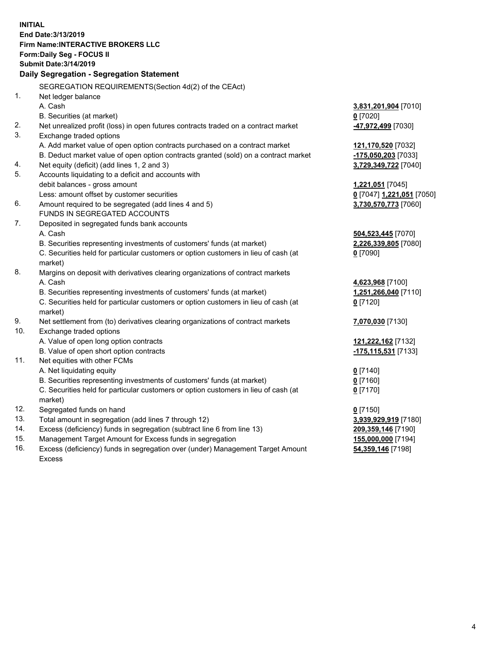**INITIAL End Date:3/13/2019 Firm Name:INTERACTIVE BROKERS LLC Form:Daily Seg - FOCUS II Submit Date:3/14/2019 Daily Segregation - Segregation Statement** SEGREGATION REQUIREMENTS(Section 4d(2) of the CEAct) 1. Net ledger balance A. Cash **3,831,201,904** [7010] B. Securities (at market) **0** [7020] 2. Net unrealized profit (loss) in open futures contracts traded on a contract market **-47,972,499** [7030] 3. Exchange traded options A. Add market value of open option contracts purchased on a contract market **121,170,520** [7032] B. Deduct market value of open option contracts granted (sold) on a contract market **-175,050,203** [7033] 4. Net equity (deficit) (add lines 1, 2 and 3) **3,729,349,722** [7040] 5. Accounts liquidating to a deficit and accounts with debit balances - gross amount **1,221,051** [7045] Less: amount offset by customer securities **0** [7047] **1,221,051** [7050] 6. Amount required to be segregated (add lines 4 and 5) **3,730,570,773** [7060] FUNDS IN SEGREGATED ACCOUNTS 7. Deposited in segregated funds bank accounts A. Cash **504,523,445** [7070] B. Securities representing investments of customers' funds (at market) **2,226,339,805** [7080] C. Securities held for particular customers or option customers in lieu of cash (at market) **0** [7090] 8. Margins on deposit with derivatives clearing organizations of contract markets A. Cash **4,623,968** [7100] B. Securities representing investments of customers' funds (at market) **1,251,266,040** [7110] C. Securities held for particular customers or option customers in lieu of cash (at market) **0** [7120] 9. Net settlement from (to) derivatives clearing organizations of contract markets **7,070,030** [7130] 10. Exchange traded options A. Value of open long option contracts **121,222,162** [7132] B. Value of open short option contracts **-175,115,531** [7133] 11. Net equities with other FCMs A. Net liquidating equity **0** [7140] B. Securities representing investments of customers' funds (at market) **0** [7160] C. Securities held for particular customers or option customers in lieu of cash (at market) **0** [7170] 12. Segregated funds on hand **0** [7150] 13. Total amount in segregation (add lines 7 through 12) **3,939,929,919** [7180] 14. Excess (deficiency) funds in segregation (subtract line 6 from line 13) **209,359,146** [7190] 15. Management Target Amount for Excess funds in segregation **155,000,000** [7194]

16. Excess (deficiency) funds in segregation over (under) Management Target Amount Excess

**54,359,146** [7198]